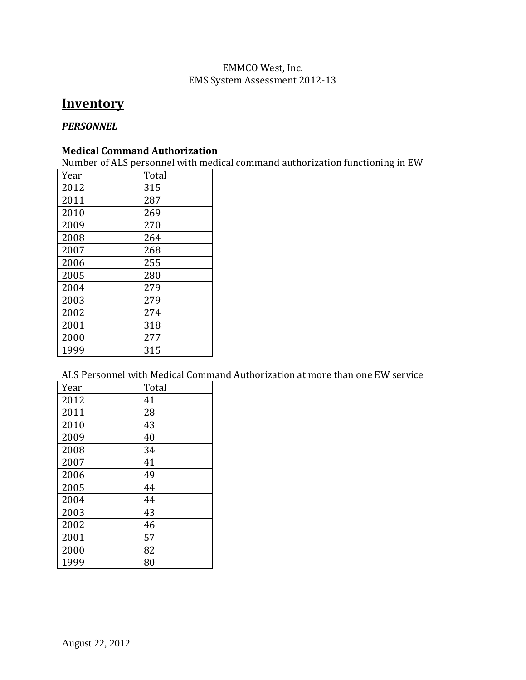# EMMCO West, Inc. EMS System Assessment 2012-13

# **Inventory**

## *PERSONNEL*

## **Medical Command Authorization**

Number of ALS personnel with medical command authorization functioning in EW

| 2012<br>315<br>2011<br>287<br>2010<br>269<br>2009<br>270<br>2008<br>264<br>2007<br>268<br>255<br>2006<br>2005<br>280<br>279<br>2004<br>2003<br>279<br>2002<br>274<br>2001<br>318<br>2000<br>277<br>1999<br>315 | Year | Total |
|----------------------------------------------------------------------------------------------------------------------------------------------------------------------------------------------------------------|------|-------|
|                                                                                                                                                                                                                |      |       |
|                                                                                                                                                                                                                |      |       |
|                                                                                                                                                                                                                |      |       |
|                                                                                                                                                                                                                |      |       |
|                                                                                                                                                                                                                |      |       |
|                                                                                                                                                                                                                |      |       |
|                                                                                                                                                                                                                |      |       |
|                                                                                                                                                                                                                |      |       |
|                                                                                                                                                                                                                |      |       |
|                                                                                                                                                                                                                |      |       |
|                                                                                                                                                                                                                |      |       |
|                                                                                                                                                                                                                |      |       |
|                                                                                                                                                                                                                |      |       |
|                                                                                                                                                                                                                |      |       |

ALS Personnel with Medical Command Authorization at more than one EW service

| Year | Total |
|------|-------|
| 2012 | 41    |
| 2011 | 28    |
| 2010 | 43    |
| 2009 | 40    |
| 2008 | 34    |
| 2007 | 41    |
| 2006 | 49    |
| 2005 | 44    |
| 2004 | 44    |
| 2003 | 43    |
| 2002 | 46    |
| 2001 | 57    |
| 2000 | 82    |
| 1999 | 80    |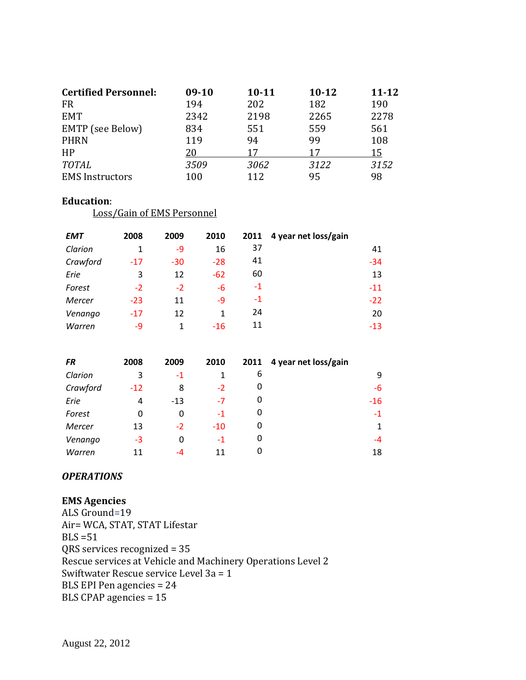| <b>Certified Personnel:</b> | $09-10$ | $10 - 11$ | $10 - 12$ | $11 - 12$ |
|-----------------------------|---------|-----------|-----------|-----------|
| <b>FR</b>                   | 194     | 202       | 182       | 190       |
| <b>EMT</b>                  | 2342    | 2198      | 2265      | 2278      |
| EMTP (see Below)            | 834     | 551       | 559       | 561       |
| <b>PHRN</b>                 | 119     | 94        | 99        | 108       |
| HP                          | 20      | 17        | 17        | 15        |
| <b>TOTAL</b>                | 3509    | 3062      | 3122      | 3152      |
| <b>EMS</b> Instructors      | 100     | 112       | 95        | 98        |

#### **Education**:

Loss/Gain of EMS Personnel

| <b>EMT</b> | 2008  | 2009  | 2010  | 2011 | 4 year net loss/gain |       |
|------------|-------|-------|-------|------|----------------------|-------|
| Clarion    | 1     | -9    | 16    | 37   |                      | 41    |
| Crawford   | $-17$ | $-30$ | $-28$ | 41   |                      | $-34$ |
| Erie       | 3     | 12    | $-62$ | 60   |                      | 13    |
| Forest     | $-2$  | $-2$  | -6    | $-1$ |                      | $-11$ |
| Mercer     | $-23$ | 11    | -9    | $-1$ |                      | $-22$ |
| Venango    | $-17$ | 12    | 1     | 24   |                      | 20    |
| Warren     | $-9$  |       | $-16$ | 11   |                      | $-13$ |

| <b>FR</b> | 2008  | 2009  | 2010  | 2011 | 4 year net loss/gain |              |
|-----------|-------|-------|-------|------|----------------------|--------------|
| Clarion   | 3     | $-1$  |       | 6    |                      | 9            |
| Crawford  | $-12$ | 8     | $-2$  | 0    |                      | -6           |
| Erie      | 4     | $-13$ | $-7$  | 0    |                      | $-16$        |
| Forest    | 0     | 0     | $-1$  | 0    |                      | $-1$         |
| Mercer    | 13    | $-2$  | $-10$ | 0    |                      | $\mathbf{1}$ |
| Venango   | $-3$  | O     | $-1$  | 0    |                      | $-4$         |
| Warren    | 11    | $-4$  | 11    | 0    |                      | 18           |

#### *OPERATIONS*

## **EMS Agencies**

ALS Ground=19 Air= WCA, STAT, STAT Lifestar  $BLS = 51$ QRS services recognized = 35 Rescue services at Vehicle and Machinery Operations Level 2 Swiftwater Rescue service Level 3a = 1 BLS EPI Pen agencies = 24 BLS CPAP agencies = 15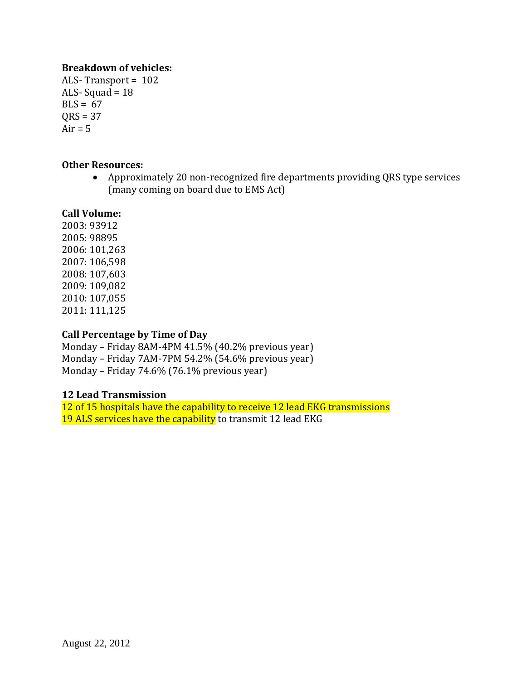# **Breakdown of vehicles:**

ALS- Transport = 102 ALS-Squad =  $18$  $BLS = 67$  $ORS = 37$  $Air = 5$ 

## **Other Resources:**

• Approximately 20 non-recognized fire departments providing QRS type services (many coming on board due to EMS Act)

## **Call Volume:**

2003: 93912 2005: 98895 2006: 101,263 2007: 106,598 2008: 107,603 2009: 109,082 2010: 107,055 2011: 111,125

## **Call Percentage by Time of Day**

Monday – Friday 8AM-4PM 41.5% (40.2% previous year) Monday – Friday 7AM-7PM 54.2% (54.6% previous year) Monday – Friday 74.6% (76.1% previous year)

# **12 Lead Transmission**

12 of 15 hospitals have the capability to receive 12 lead EKG transmissions 19 ALS services have the capability to transmit 12 lead EKG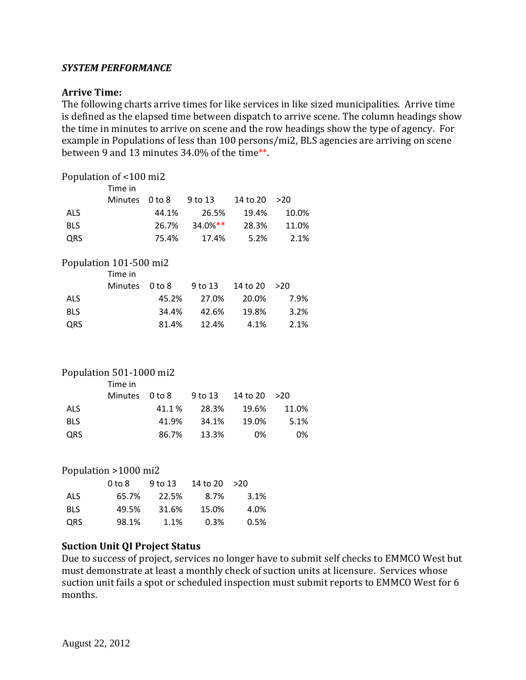### *SYSTEM PERFORMANCE*

#### **Arrive Time:**

The following charts arrive times for like services in like sized municipalities. Arrive time is defined as the elapsed time between dispatch to arrive scene. The column headings show the time in minutes to arrive on scene and the row headings show the type of agency. For example in Populations of less than 100 persons/mi2, BLS agencies are arriving on scene between 9 and 13 minutes 34.0% of the time\*\*.

# Population of <100 mi2 Time in Minutes 0 to 8 9 to 13 14 to 20 > 20 ALS 44.1% 26.5% 19.4% 10.0% BLS 26.7% 34.0%\*\* 28.3% 11.0% QRS 75.4% 17.4% 5.2% 2.1% Population 101-500 mi2 Time in Minutes 0 to 8 9 to 13 14 to 20 >20 ALS 45.2% 27.0% 20.0% 7.9% BLS 34.4% 42.6% 19.8% 3.2% QRS 81.4% 12.4% 4.1% 2.1%

#### Population 501-1000 mi2

|            | Time in        |        |       |         |       |
|------------|----------------|--------|-------|---------|-------|
|            | Minutes 0 to 8 |        |       |         |       |
| <b>ALS</b> |                | 41.1 % | 28.3% | - 19.6% | 11.0% |
| <b>BLS</b> |                | 41.9%  | 34.1% | 19.0%   | 5.1%  |
| <b>QRS</b> |                | 86.7%  | 13.3% | 0%      | 0%    |

#### Population >1000 mi2

|            | 0 <sub>to</sub> 8 | 9 to 13 | 14 to 20 | >20  |
|------------|-------------------|---------|----------|------|
| <b>ALS</b> | 65.7%             | 22.5%   | 8.7%     | 3.1% |
| <b>BLS</b> | 49.5%             | 31.6%   | 15.0%    | 4.0% |
| QRS        | 98.1%             | 1.1%    | 0.3%     | 0.5% |

#### **Suction Unit QI Project Status**

Due to success of project, services no longer have to submit self checks to EMMCO West but must demonstrate at least a monthly check of suction units at licensure. Services whose suction unit fails a spot or scheduled inspection must submit reports to EMMCO West for 6 months.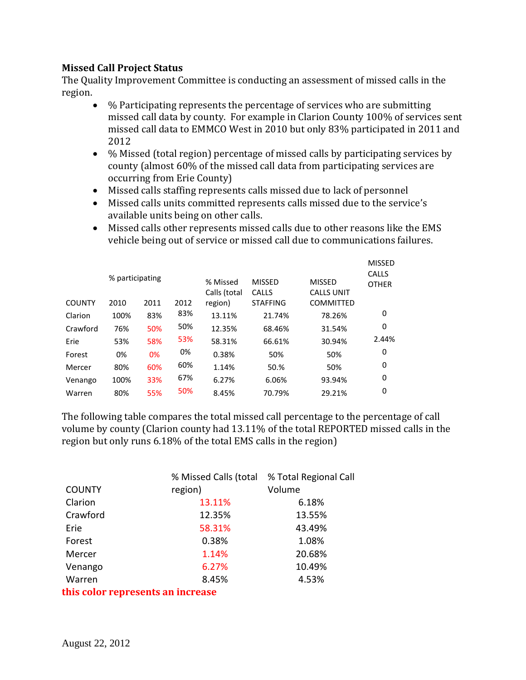# **Missed Call Project Status**

The Quality Improvement Committee is conducting an assessment of missed calls in the region.

- % Participating represents the percentage of services who are submitting missed call data by county. For example in Clarion County 100% of services sent missed call data to EMMCO West in 2010 but only 83% participated in 2011 and 2012
- % Missed (total region) percentage of missed calls by participating services by county (almost 60% of the missed call data from participating services are occurring from Erie County)
- Missed calls staffing represents calls missed due to lack of personnel
- Missed calls units committed represents calls missed due to the service's available units being on other calls.
- Missed calls other represents missed calls due to other reasons like the EMS vehicle being out of service or missed call due to communications failures.

|          |                 |      |      |                          |                        |                                    | <b>MISSED</b>                |
|----------|-----------------|------|------|--------------------------|------------------------|------------------------------------|------------------------------|
|          | % participating |      |      | % Missed<br>Calls (total | <b>MISSED</b><br>CALLS | <b>MISSED</b><br><b>CALLS UNIT</b> | <b>CALLS</b><br><b>OTHER</b> |
| COUNTY   | 2010            | 2011 | 2012 | region)                  | <b>STAFFING</b>        | <b>COMMITTED</b>                   |                              |
| Clarion  | 100%            | 83%  | 83%  | 13.11%                   | 21.74%                 | 78.26%                             | 0                            |
| Crawford | 76%             | 50%  | 50%  | 12.35%                   | 68.46%                 | 31.54%                             | 0                            |
| Erie     | 53%             | 58%  | 53%  | 58.31%                   | 66.61%                 | 30.94%                             | 2.44%                        |
| Forest   | 0%              | 0%   | 0%   | 0.38%                    | 50%                    | 50%                                | 0                            |
| Mercer   | 80%             | 60%  | 60%  | 1.14%                    | 50.%                   | 50%                                | 0                            |
| Venango  | 100%            | 33%  | 67%  | 6.27%                    | 6.06%                  | 93.94%                             | 0                            |
| Warren   | 80%             | 55%  | 50%  | 8.45%                    | 70.79%                 | 29.21%                             | 0                            |
|          |                 |      |      |                          |                        |                                    |                              |

The following table compares the total missed call percentage to the percentage of call volume by county (Clarion county had 13.11% of the total REPORTED missed calls in the region but only runs 6.18% of the total EMS calls in the region)

|                                   | % Missed Calls (total | % Total Regional Call |  |  |  |  |
|-----------------------------------|-----------------------|-----------------------|--|--|--|--|
| <b>COUNTY</b>                     | region)               | Volume                |  |  |  |  |
| Clarion                           | 13.11%                | 6.18%                 |  |  |  |  |
| Crawford                          | 12.35%                | 13.55%                |  |  |  |  |
| Erie                              | 58.31%                | 43.49%                |  |  |  |  |
| Forest                            | 0.38%                 | 1.08%                 |  |  |  |  |
| Mercer                            | 1.14%                 | 20.68%                |  |  |  |  |
| Venango                           | 6.27%                 | 10.49%                |  |  |  |  |
| Warren                            | 8.45%                 | 4.53%                 |  |  |  |  |
| this color represents an increase |                       |                       |  |  |  |  |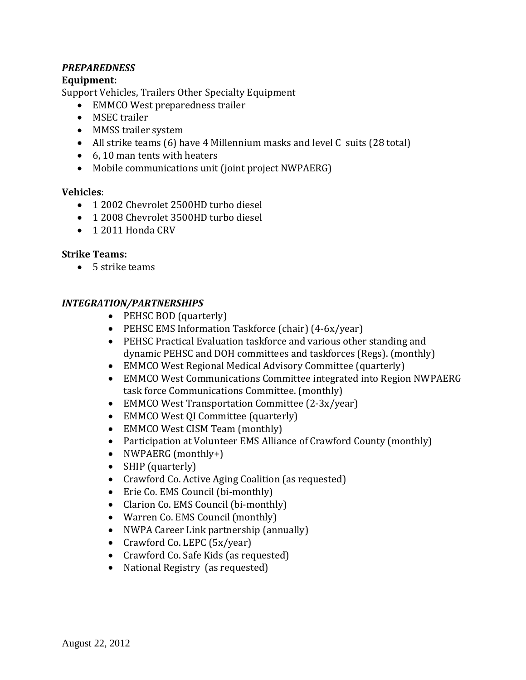# *PREPAREDNESS*

# **Equipment:**

Support Vehicles, Trailers Other Specialty Equipment

- EMMCO West preparedness trailer
- MSEC trailer
- MMSS trailer system
- All strike teams (6) have 4 Millennium masks and level C suits (28 total)
- 6, 10 man tents with heaters
- Mobile communications unit (joint project NWPAERG)

## **Vehicles**:

- 1 2002 Chevrolet 2500HD turbo diesel
- 1 2008 Chevrolet 3500HD turbo diesel
- 1 2011 Honda CRV

## **Strike Teams:**

• 5 strike teams

# *INTEGRATION/PARTNERSHIPS*

- PEHSC BOD (quarterly)
- PEHSC EMS Information Taskforce (chair) (4-6x/year)
- PEHSC Practical Evaluation taskforce and various other standing and dynamic PEHSC and DOH committees and taskforces (Regs). (monthly)
- EMMCO West Regional Medical Advisory Committee (quarterly)
- EMMCO West Communications Committee integrated into Region NWPAERG task force Communications Committee. (monthly)
- EMMCO West Transportation Committee (2-3x/year)
- EMMCO West OI Committee (quarterly)
- EMMCO West CISM Team (monthly)
- Participation at Volunteer EMS Alliance of Crawford County (monthly)
- NWPAERG (monthly+)
- SHIP (quarterly)
- Crawford Co. Active Aging Coalition (as requested)
- Erie Co. EMS Council (bi-monthly)
- Clarion Co. EMS Council (bi-monthly)
- Warren Co. EMS Council (monthly)
- NWPA Career Link partnership (annually)
- Crawford Co. LEPC (5x/year)
- Crawford Co. Safe Kids (as requested)
- National Registry (as requested)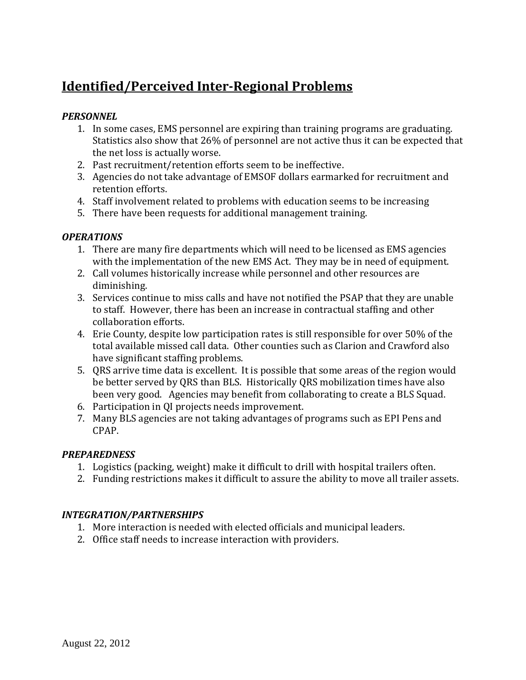# **Identified/Perceived Inter-Regional Problems**

# *PERSONNEL*

- 1. In some cases, EMS personnel are expiring than training programs are graduating. Statistics also show that 26% of personnel are not active thus it can be expected that the net loss is actually worse.
- 2. Past recruitment/retention efforts seem to be ineffective.
- 3. Agencies do not take advantage of EMSOF dollars earmarked for recruitment and retention efforts.
- 4. Staff involvement related to problems with education seems to be increasing
- 5. There have been requests for additional management training.

# *OPERATIONS*

- 1. There are many fire departments which will need to be licensed as EMS agencies with the implementation of the new EMS Act. They may be in need of equipment.
- 2. Call volumes historically increase while personnel and other resources are diminishing.
- 3. Services continue to miss calls and have not notified the PSAP that they are unable to staff. However, there has been an increase in contractual staffing and other collaboration efforts.
- 4. Erie County, despite low participation rates is still responsible for over 50% of the total available missed call data. Other counties such as Clarion and Crawford also have significant staffing problems.
- 5. QRS arrive time data is excellent. It is possible that some areas of the region would be better served by QRS than BLS. Historically QRS mobilization times have also been very good. Agencies may benefit from collaborating to create a BLS Squad.
- 6. Participation in QI projects needs improvement.
- 7. Many BLS agencies are not taking advantages of programs such as EPI Pens and CPAP.

# *PREPAREDNESS*

- 1. Logistics (packing, weight) make it difficult to drill with hospital trailers often.
- 2. Funding restrictions makes it difficult to assure the ability to move all trailer assets.

# *INTEGRATION/PARTNERSHIPS*

- 1. More interaction is needed with elected officials and municipal leaders.
- 2. Office staff needs to increase interaction with providers.